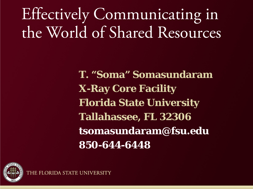# Effectively Communicating in the World of Shared Resources

**T. "Soma" Somasundaram X-Ray Core Facility Florida State University Tallahassee, FL 32306 tsomasundaram@fsu.edu 850-644-6448**

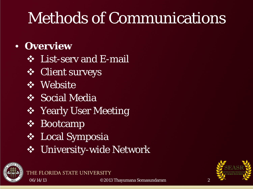# Methods of Communications

#### • **Overview**

- **❖** List-serv and E-mail
- **❖** Client surveys
- **❖** Website
- Social Media
- *S* Yearly User Meeting
- **❖** Bootcamp
- Local Symposia

THE FLORIDA STATE UNIVERSIT

University-wide Network



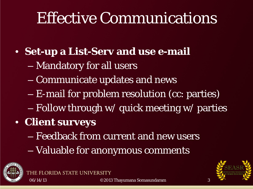### Effective Communications

- **Set-up a List-Serv and use e-mail**
	- Mandatory for all users
	- Communicate updates and news
	- E-mail for problem resolution (cc: parties)
	- Follow through w/ quick meeting w/ parties
- **Client surveys**

ORIDA STATE UN

- Feedback from current and new users
- Valuable for anonymous comments



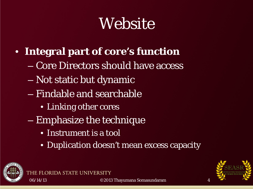# Website

- **Integral part of core's function**
	- Core Directors should have access
	- Not static but dynamic
	- Findable and searchable
		- Linking other cores
	- Emphasize the technique
		- Instrument is a tool

ORIDA STATE UNIV

• Duplication doesn't mean excess capacity



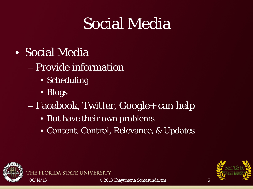# Social Media

- Social Media
	- Provide information
		- Scheduling

ORIDA STATE UNIVER

- Blogs
- Facebook, Twitter, Google+ can help
	- But have their own problems
	- Content, Control, Relevance, & Updates



THE FL

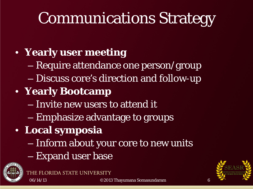# Communications Strategy

### • **Yearly user meeting**

- Require attendance one person/group
- Discuss core's direction and follow-up

#### • **Yearly Bootcamp**

- Invite new users to attend it
- Emphasize advantage to groups

#### • **Local symposia**

- Inform about your core to new units
- Expand user base





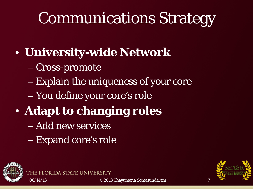# Communications Strategy

- **University-wide Network**
	- Cross-promote
	- Explain the uniqueness of your core
	- You define your core's role
- **Adapt to changing roles**
	- Add new services
	- Expand core's role

ORIDA STATE UNI



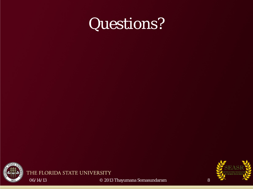



THE FLORIDA STATE UNIVERSITY



06/14/13 © 2013 Thayumana Somasundaram 8